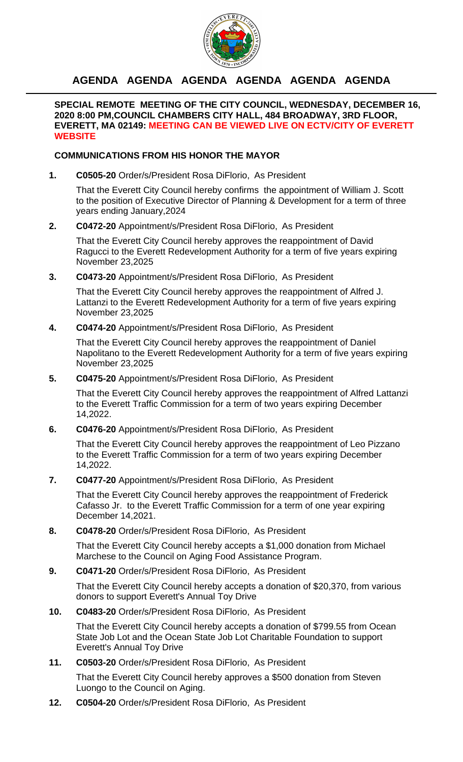

## **AGENDA AGENDA AGENDA AGENDA AGENDA AGENDA**

**SPECIAL REMOTE MEETING OF THE CITY COUNCIL, WEDNESDAY, DECEMBER 16, 2020 8:00 PM,COUNCIL CHAMBERS CITY HALL, 484 BROADWAY, 3RD FLOOR, EVERETT, MA 02149: MEETING CAN BE VIEWED LIVE ON ECTV/CITY OF EVERETT WEBSITE**

#### **COMMUNICATIONS FROM HIS HONOR THE MAYOR**

**1. C0505-20** Order/s/President Rosa DiFlorio, As President

That the Everett City Council hereby confirms the appointment of William J. Scott to the position of Executive Director of Planning & Development for a term of three years ending January,2024

**2. C0472-20** Appointment/s/President Rosa DiFlorio, As President

That the Everett City Council hereby approves the reappointment of David Ragucci to the Everett Redevelopment Authority for a term of five years expiring November 23,2025

**3. C0473-20** Appointment/s/President Rosa DiFlorio, As President

That the Everett City Council hereby approves the reappointment of Alfred J. Lattanzi to the Everett Redevelopment Authority for a term of five years expiring November 23,2025

**4. C0474-20** Appointment/s/President Rosa DiFlorio, As President

That the Everett City Council hereby approves the reappointment of Daniel Napolitano to the Everett Redevelopment Authority for a term of five years expiring November 23,2025

**5. C0475-20** Appointment/s/President Rosa DiFlorio, As President

That the Everett City Council hereby approves the reappointment of Alfred Lattanzi to the Everett Traffic Commission for a term of two years expiring December 14,2022.

**6. C0476-20** Appointment/s/President Rosa DiFlorio, As President

That the Everett City Council hereby approves the reappointment of Leo Pizzano to the Everett Traffic Commission for a term of two years expiring December 14,2022.

**7. C0477-20** Appointment/s/President Rosa DiFlorio, As President

That the Everett City Council hereby approves the reappointment of Frederick Cafasso Jr. to the Everett Traffic Commission for a term of one year expiring December 14,2021.

**8. C0478-20** Order/s/President Rosa DiFlorio, As President

That the Everett City Council hereby accepts a \$1,000 donation from Michael Marchese to the Council on Aging Food Assistance Program.

**9. C0471-20** Order/s/President Rosa DiFlorio, As President

That the Everett City Council hereby accepts a donation of \$20,370, from various donors to support Everett's Annual Toy Drive

**10. C0483-20** Order/s/President Rosa DiFlorio, As President

That the Everett City Council hereby accepts a donation of \$799.55 from Ocean State Job Lot and the Ocean State Job Lot Charitable Foundation to support Everett's Annual Toy Drive

### **11. C0503-20** Order/s/President Rosa DiFlorio, As President

That the Everett City Council hereby approves a \$500 donation from Steven Luongo to the Council on Aging.

**12. C0504-20** Order/s/President Rosa DiFlorio, As President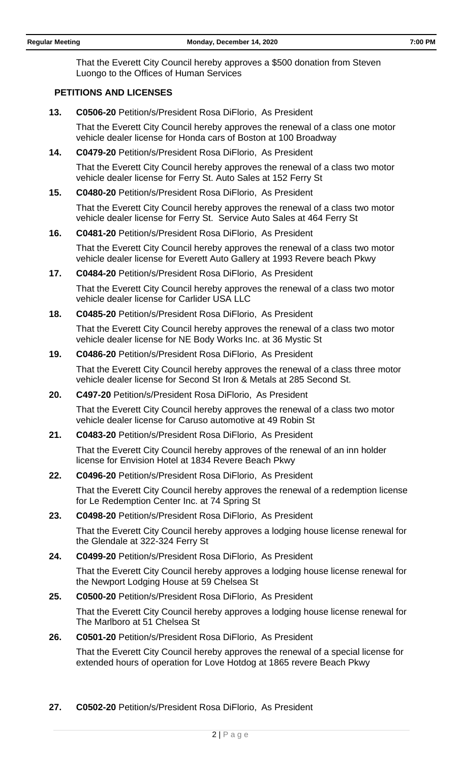That the Everett City Council hereby approves a \$500 donation from Steven Luongo to the Offices of Human Services

#### **PETITIONS AND LICENSES**

**13. C0506-20** Petition/s/President Rosa DiFlorio, As President

That the Everett City Council hereby approves the renewal of a class one motor vehicle dealer license for Honda cars of Boston at 100 Broadway

**14. C0479-20** Petition/s/President Rosa DiFlorio, As President

That the Everett City Council hereby approves the renewal of a class two motor vehicle dealer license for Ferry St. Auto Sales at 152 Ferry St

**15. C0480-20** Petition/s/President Rosa DiFlorio, As President

That the Everett City Council hereby approves the renewal of a class two motor vehicle dealer license for Ferry St. Service Auto Sales at 464 Ferry St

**16. C0481-20** Petition/s/President Rosa DiFlorio, As President

That the Everett City Council hereby approves the renewal of a class two motor vehicle dealer license for Everett Auto Gallery at 1993 Revere beach Pkwy

**17. C0484-20** Petition/s/President Rosa DiFlorio, As President

That the Everett City Council hereby approves the renewal of a class two motor vehicle dealer license for Carlider USA LLC

**18. C0485-20** Petition/s/President Rosa DiFlorio, As President

That the Everett City Council hereby approves the renewal of a class two motor vehicle dealer license for NE Body Works Inc. at 36 Mystic St

**19. C0486-20** Petition/s/President Rosa DiFlorio, As President

That the Everett City Council hereby approves the renewal of a class three motor vehicle dealer license for Second St Iron & Metals at 285 Second St.

**20. C497-20** Petition/s/President Rosa DiFlorio, As President

That the Everett City Council hereby approves the renewal of a class two motor vehicle dealer license for Caruso automotive at 49 Robin St

**21. C0483-20** Petition/s/President Rosa DiFlorio, As President

That the Everett City Council hereby approves of the renewal of an inn holder license for Envision Hotel at 1834 Revere Beach Pkwy

**22. C0496-20** Petition/s/President Rosa DiFlorio, As President

That the Everett City Council hereby approves the renewal of a redemption license for Le Redemption Center Inc. at 74 Spring St

**23. C0498-20** Petition/s/President Rosa DiFlorio, As President

That the Everett City Council hereby approves a lodging house license renewal for the Glendale at 322-324 Ferry St

**24. C0499-20** Petition/s/President Rosa DiFlorio, As President

That the Everett City Council hereby approves a lodging house license renewal for the Newport Lodging House at 59 Chelsea St

**25. C0500-20** Petition/s/President Rosa DiFlorio, As President

That the Everett City Council hereby approves a lodging house license renewal for The Marlboro at 51 Chelsea St

**26. C0501-20** Petition/s/President Rosa DiFlorio, As President

That the Everett City Council hereby approves the renewal of a special license for extended hours of operation for Love Hotdog at 1865 revere Beach Pkwy

**27. C0502-20** Petition/s/President Rosa DiFlorio, As President